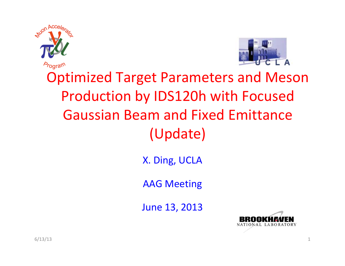



### Optimized Target Parameters and Meson Production by IDS120h with Focused Gaussian Beam and Fixed Emittance (Update)

X. Ding, UCLA

AAG Meeting

June 13, 2013

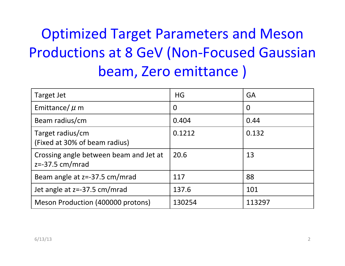## Optimized Target Parameters and Meson Productions at 8 GeV (Non‐Focused Gaussian beam, Zero emittance )

| Target Jet                                                  | <b>HG</b>      | GA             |
|-------------------------------------------------------------|----------------|----------------|
| Emittance/ $\mu$ m                                          | $\overline{0}$ | $\overline{0}$ |
| Beam radius/cm                                              | 0.404          | 0.44           |
| Target radius/cm<br>(Fixed at 30% of beam radius)           | 0.1212         | 0.132          |
| Crossing angle between beam and Jet at<br>$z=-37.5$ cm/mrad | 20.6           | 13             |
| Beam angle at z=-37.5 cm/mrad                               | 117            | 88             |
| Jet angle at z=-37.5 cm/mrad                                | 137.6          | 101            |
| Meson Production (400000 protons)                           | 130254         | 113297         |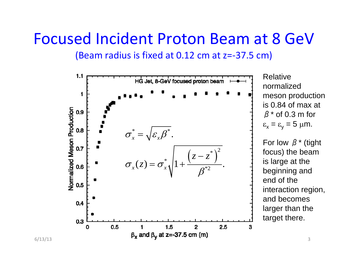#### Focused Incident Proton Beam at 8 GeV

(Beam radius is fixed at 0.12 cm at z=‐37.5 cm)

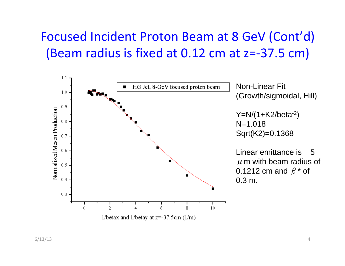#### Focused Incident Proton Beam at 8 GeV (Cont'd) (Beam radius is fixed at 0.12 cm at z=‐37.5 cm)

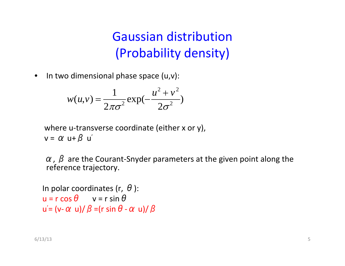#### Gaussian distribution (Probability density)

 $\bullet$  $\bullet$  In two dimensional phase space (u,v):

$$
w(u,v) = \frac{1}{2\pi\sigma^2} \exp(-\frac{u^2 + v^2}{2\sigma^2})
$$

where <sup>u</sup>‐transverse coordinate (either <sup>x</sup> or y),  $v = \alpha$  u+ $\beta$  u $^{\prime}$ 

 $\alpha$ ,  $\beta$  are the Courant-Snyder parameters at the given point along the reference trajectory.

```
In polar coordinates (r, \,\theta ):
u = r \cos \theta v = r sin \thetau
  \vec{\alpha} = (v- \alpha u)/ \beta =(r sin \theta - \alpha u)/ \beta
```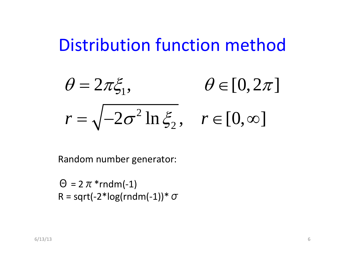## Distribution function method

$$
\theta = 2\pi \xi_1, \qquad \theta \in [0, 2\pi]
$$

$$
r = \sqrt{-2\sigma^2 \ln \xi_2}, \quad r \in [0, \infty]
$$

Random number generator:

 $\Theta = 2 \pi * \text{rndm}(-1)$  $R = sqrt(-2 * log(rndm(-1)) * \sigma)$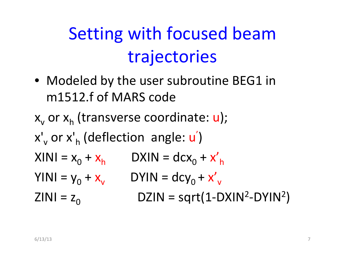# Setting with focused beam trajectories

• Modeled by the user subroutine BEG1 in m1512.f of MARS code

 $\mathsf{x}_{_{\mathsf{V}}}$  or  $\mathsf{x}_{_{\mathsf{h}}}$  (transverse coordinate:  $\mathsf{u}$ ); x'<sub>v</sub> or x'<sub>h</sub> (deflection angle: u')  $XINI = x_0 + x_h$  DXIN = dcx<sub>0</sub> + x'<sub>h</sub>  $YINI = y_0 + x_v$  DYIN = dcy<sub>0</sub> + x'<sub>v</sub> ZINI =  $\rm z_{0}$  $DZIN = sqrt(1-DXIN^2-DYIN^2)$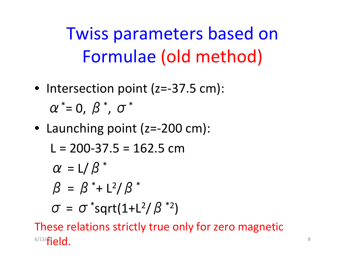Twiss parameters based on Formulae (old method)

- Intersection point (z= ‐37.5 cm):  $\alpha^{\,\ast}$  $^*$ = 0,  $\beta$   $^*$  , σ \*
- Launching point (z= ‐200 cm):

$$
L = 200-37.5 = 162.5 \text{ cm}
$$
  
\n
$$
\alpha = L/\beta^*
$$
  
\n
$$
\beta = \beta^* + L^2/\beta^*
$$
  
\n
$$
\sigma = \sigma^* \text{sqrt}(1 + L^2/\beta^*)
$$

These relations strictly true only for zero magnetic  $^{6/13/}$ field.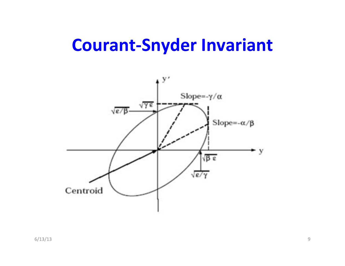## **Courant‐Snyder Invariant**

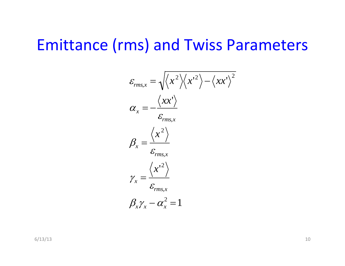#### Emittance (rms) and Twiss Parameters

$$
\varepsilon_{rms,x} = \sqrt{\langle x^2 \rangle \langle x'^2 \rangle - \langle xx' \rangle^2}
$$
  
\n
$$
\alpha_x = -\frac{\langle xx' \rangle}{\varepsilon_{rms,x}}
$$
  
\n
$$
\beta_x = \frac{\langle x^2 \rangle}{\varepsilon_{rms,x}}
$$
  
\n
$$
\gamma_x = \frac{\langle x'^2 \rangle}{\varepsilon_{rms,x}}
$$
  
\n
$$
\beta_x \gamma_x - \alpha_x^2 = 1
$$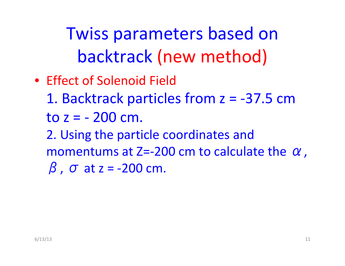Twiss parameters based on backtrack (new method)

• Effect of Solenoid Field 1. Backtrack particles from z = ‐37.5 cm toz= ‐ 200 cm. 2. Using the particle coordinates and momentums at Z=-200 cm to calculate the  $\alpha$ ,  $β$ ,  $σ$  at  $z = -200$  cm.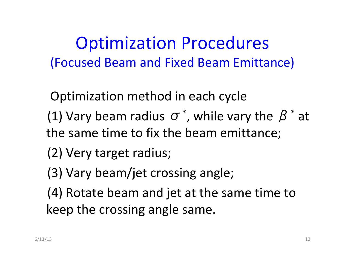Optimization Procedures (Focused Beam and Fixed Beam Emittance)

Optimization method in each cycle

- (1) Vary beam radius  $\sigma^*$ , while vary the  $\beta^*$  at the same time to fix the beam emittance;
- (2) Very target radius;
- (3) Vary beam/jet crossing angle;
- (4) Rotate beam and jet at the same time to keep the crossing angle same.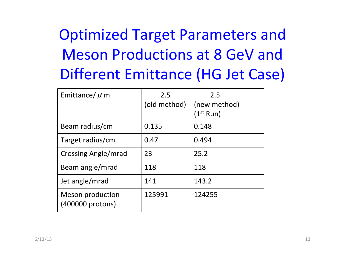| Emittance/ $\mu$ m                   | 2.5<br>(old method) | 2.5<br>(new method)<br>(1 $^{\rm st}$ Run) |
|--------------------------------------|---------------------|--------------------------------------------|
| Beam radius/cm                       | 0.135               | 0.148                                      |
| Target radius/cm                     | 0.47                | 0.494                                      |
| Crossing Angle/mrad                  | 23                  | 25.2                                       |
| Beam angle/mrad                      | 118                 | 118                                        |
| Jet angle/mrad                       | 141                 | 143.2                                      |
| Meson production<br>(400000 protons) | 125991              | 124255                                     |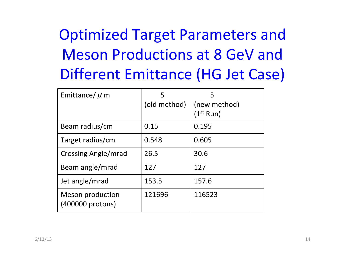| Emittance/ $\mu$ m                          | 5<br>(old method) | 5<br>(new method)<br>(1 $\rm ^{st}$ Run) |
|---------------------------------------------|-------------------|------------------------------------------|
| Beam radius/cm                              | 0.15              | 0.195                                    |
| Target radius/cm                            | 0.548             | 0.605                                    |
| Crossing Angle/mrad                         | 26.5              | 30.6                                     |
| Beam angle/mrad                             | 127               | 127                                      |
| Jet angle/mrad                              | 153.5             | 157.6                                    |
| <b>Meson production</b><br>(400000 protons) | 121696            | 116523                                   |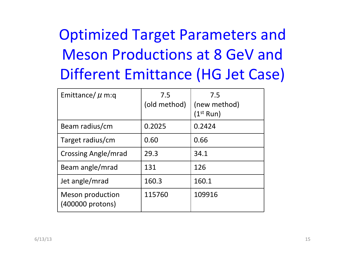| Emittance/ $\mu$ m:q                        | 7.5<br>(old method) | 7.5<br>(new method)<br>(1 $^{\rm st}$ Run) |
|---------------------------------------------|---------------------|--------------------------------------------|
| Beam radius/cm                              | 0.2025              | 0.2424                                     |
| Target radius/cm                            | 0.60                | 0.66                                       |
| Crossing Angle/mrad                         | 29.3                | 34.1                                       |
| Beam angle/mrad                             | 131                 | 126                                        |
| Jet angle/mrad                              | 160.3               | 160.1                                      |
| <b>Meson production</b><br>(400000 protons) | 115760              | 109916                                     |